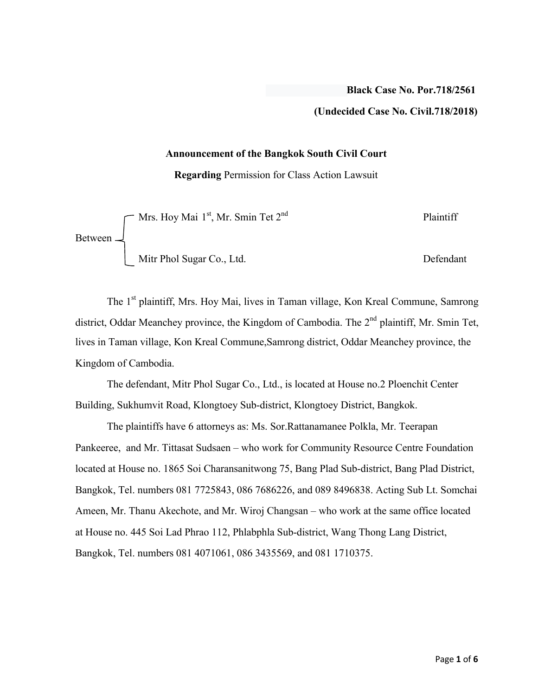## **(Undecided Case No. Civil.718/2018)**

#### **Announcement of the Bangkok South Civil Court**

**Regarding** Permission for Class Action Lawsuit

|                 | $\Gamma$ Mrs. Hoy Mai 1 <sup>st</sup> , Mr. Smin Tet 2 <sup>nd</sup> | Plaintiff |
|-----------------|----------------------------------------------------------------------|-----------|
| Between $\perp$ |                                                                      |           |
|                 | Mitr Phol Sugar Co., Ltd.                                            | Defendant |

The 1<sup>st</sup> plaintiff, Mrs. Hoy Mai, lives in Taman village, Kon Kreal Commune, Samrong district, Oddar Meanchey province, the Kingdom of Cambodia. The  $2<sup>nd</sup>$  plaintiff, Mr. Smin Tet, lives in Taman village, Kon Kreal Commune,Samrong district, Oddar Meanchey province, the Kingdom of Cambodia.

The defendant, Mitr Phol Sugar Co., Ltd., is located at House no.2 Ploenchit Center Building, Sukhumvit Road, Klongtoey Sub-district, Klongtoey District, Bangkok.

The plaintiffs have 6 attorneys as: Ms. Sor.Rattanamanee Polkla, Mr. Teerapan Pankeeree, and Mr. Tittasat Sudsaen – who work for Community Resource Centre Foundation located at House no. 1865 Soi Charansanitwong 75, Bang Plad Sub-district, Bang Plad District, Bangkok, Tel. numbers 081 7725843, 086 7686226, and 089 8496838. Acting Sub Lt. Somchai Ameen, Mr. Thanu Akechote, and Mr. Wiroj Changsan – who work at the same office located at House no. 445 Soi Lad Phrao 112, Phlabphla Sub-district, Wang Thong Lang District, Bangkok, Tel. numbers 081 4071061, 086 3435569, and 081 1710375.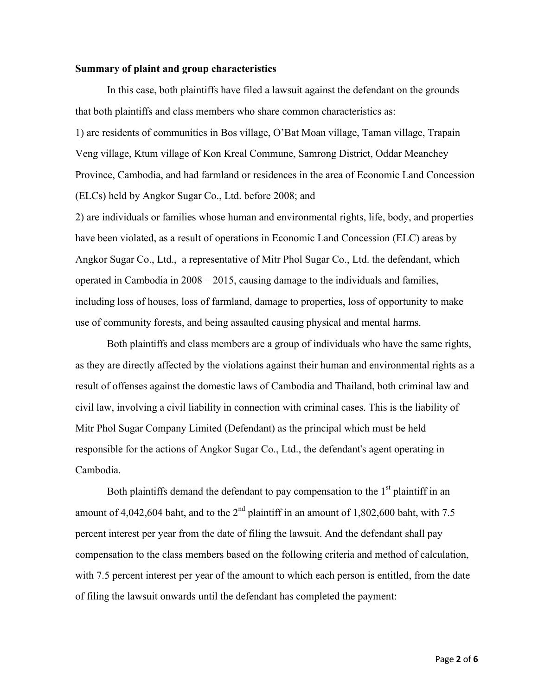#### **Summary of plaint and group characteristics**

In this case, both plaintiffs have filed a lawsuit against the defendant on the grounds that both plaintiffs and class members who share common characteristics as: 1) are residents of communities in Bos village, O'Bat Moan village, Taman village, Trapain Veng village, Ktum village of Kon Kreal Commune, Samrong District, Oddar Meanchey Province, Cambodia, and had farmland or residences in the area of Economic Land Concession (ELCs) held by Angkor Sugar Co., Ltd. before 2008; and

2) are individuals or families whose human and environmental rights, life, body, and properties have been violated, as a result of operations in Economic Land Concession (ELC) areas by Angkor Sugar Co., Ltd., a representative of Mitr Phol Sugar Co., Ltd. the defendant, which operated in Cambodia in 2008 – 2015, causing damage to the individuals and families, including loss of houses, loss of farmland, damage to properties, loss of opportunity to make use of community forests, and being assaulted causing physical and mental harms.

Both plaintiffs and class members are a group of individuals who have the same rights, as they are directly affected by the violations against their human and environmental rights as a result of offenses against the domestic laws of Cambodia and Thailand, both criminal law and civil law, involving a civil liability in connection with criminal cases. This is the liability of Mitr Phol Sugar Company Limited (Defendant) as the principal which must be held responsible for the actions of Angkor Sugar Co., Ltd., the defendant's agent operating in Cambodia.

Both plaintiffs demand the defendant to pay compensation to the  $1<sup>st</sup>$  plaintiff in an amount of 4,042,604 baht, and to the  $2<sup>nd</sup>$  plaintiff in an amount of 1,802,600 baht, with 7.5 percent interest per year from the date of filing the lawsuit. And the defendant shall pay compensation to the class members based on the following criteria and method of calculation, with 7.5 percent interest per year of the amount to which each person is entitled, from the date of filing the lawsuit onwards until the defendant has completed the payment: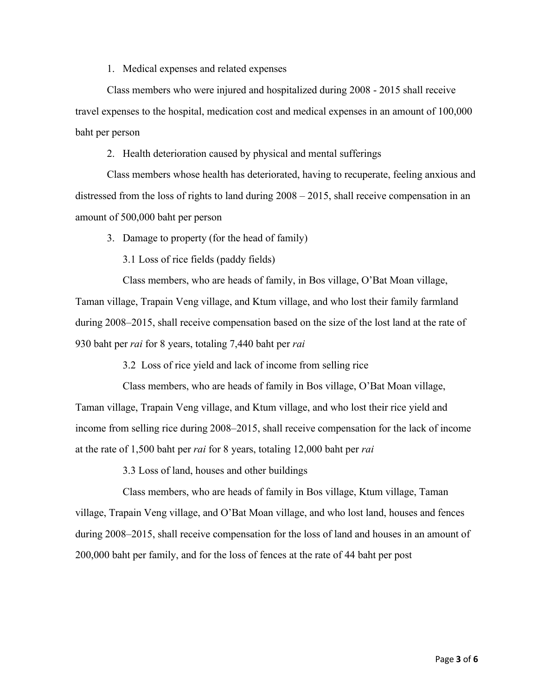1. Medical expenses and related expenses

Class members who were injured and hospitalized during 2008 - 2015 shall receive travel expenses to the hospital, medication cost and medical expenses in an amount of 100,000 baht per person

2. Health deterioration caused by physical and mental sufferings

Class members whose health has deteriorated, having to recuperate, feeling anxious and distressed from the loss of rights to land during 2008 – 2015, shall receive compensation in an amount of 500,000 baht per person

3. Damage to property (for the head of family)

3.1 Loss of rice fields (paddy fields)

Class members, who are heads of family, in Bos village, O'Bat Moan village,

Taman village, Trapain Veng village, and Ktum village, and who lost their family farmland during 2008–2015, shall receive compensation based on the size of the lost land at the rate of 930 baht per *rai* for 8 years, totaling 7,440 baht per *rai*

3.2 Loss of rice yield and lack of income from selling rice

Class members, who are heads of family in Bos village, O'Bat Moan village, Taman village, Trapain Veng village, and Ktum village, and who lost their rice yield and income from selling rice during 2008–2015, shall receive compensation for the lack of income at the rate of 1,500 baht per *rai* for 8 years, totaling 12,000 baht per *rai*

3.3 Loss of land, houses and other buildings

Class members, who are heads of family in Bos village, Ktum village, Taman village, Trapain Veng village, and O'Bat Moan village, and who lost land, houses and fences during 2008–2015, shall receive compensation for the loss of land and houses in an amount of 200,000 baht per family, and for the loss of fences at the rate of 44 baht per post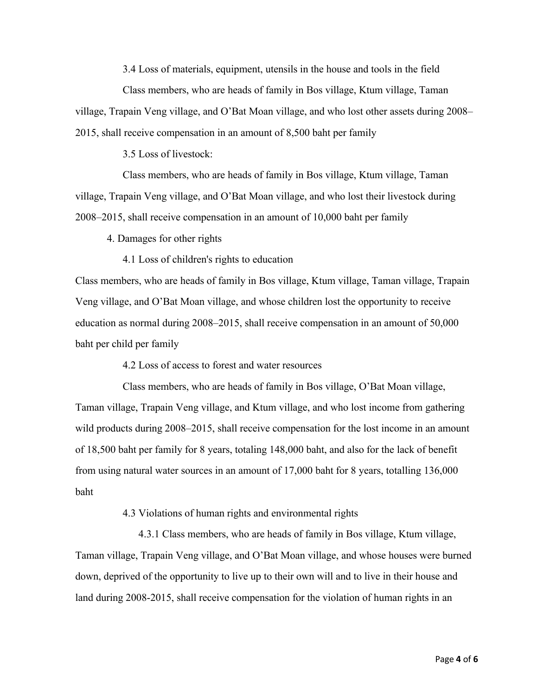3.4 Loss of materials, equipment, utensils in the house and tools in the field

Class members, who are heads of family in Bos village, Ktum village, Taman village, Trapain Veng village, and O'Bat Moan village, and who lost other assets during 2008– 2015, shall receive compensation in an amount of 8,500 baht per family

3.5 Loss of livestock:

Class members, who are heads of family in Bos village, Ktum village, Taman village, Trapain Veng village, and O'Bat Moan village, and who lost their livestock during 2008–2015, shall receive compensation in an amount of 10,000 baht per family

4. Damages for other rights

4.1 Loss of children's rights to education

Class members, who are heads of family in Bos village, Ktum village, Taman village, Trapain Veng village, and O'Bat Moan village, and whose children lost the opportunity to receive education as normal during 2008–2015, shall receive compensation in an amount of 50,000 baht per child per family

4.2 Loss of access to forest and water resources

Class members, who are heads of family in Bos village, O'Bat Moan village, Taman village, Trapain Veng village, and Ktum village, and who lost income from gathering wild products during 2008–2015, shall receive compensation for the lost income in an amount of 18,500 baht per family for 8 years, totaling 148,000 baht, and also for the lack of benefit from using natural water sources in an amount of 17,000 baht for 8 years, totalling 136,000 baht

4.3 Violations of human rights and environmental rights

4.3.1 Class members, who are heads of family in Bos village, Ktum village, Taman village, Trapain Veng village, and O'Bat Moan village, and whose houses were burned down, deprived of the opportunity to live up to their own will and to live in their house and land during 2008-2015, shall receive compensation for the violation of human rights in an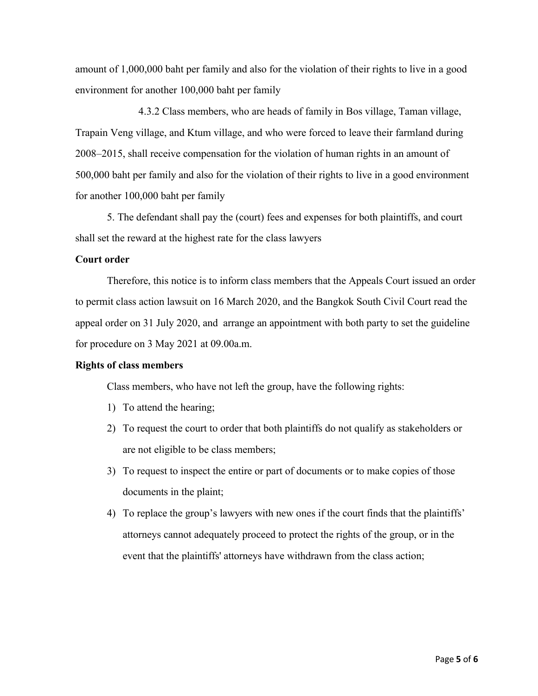amount of 1,000,000 baht per family and also for the violation of their rights to live in a good environment for another 100,000 baht per family

4.3.2 Class members, who are heads of family in Bos village, Taman village, Trapain Veng village, and Ktum village, and who were forced to leave their farmland during 2008–2015, shall receive compensation for the violation of human rights in an amount of 500,000 baht per family and also for the violation of their rights to live in a good environment for another 100,000 baht per family

5. The defendant shall pay the (court) fees and expenses for both plaintiffs, and court shall set the reward at the highest rate for the class lawyers

### **Court order**

Therefore, this notice is to inform class members that the Appeals Court issued an order to permit class action lawsuit on 16 March 2020, and the Bangkok South Civil Court read the appeal order on 31 July 2020, and arrange an appointment with both party to set the guideline for procedure on 3 May 2021 at 09.00a.m.

### **Rights of class members**

Class members, who have not left the group, have the following rights:

- 1) To attend the hearing;
- 2) To request the court to order that both plaintiffs do not qualify as stakeholders or are not eligible to be class members;
- 3) To request to inspect the entire or part of documents or to make copies of those documents in the plaint;
- 4) To replace the group's lawyers with new ones if the court finds that the plaintiffs' attorneys cannot adequately proceed to protect the rights of the group, or in the event that the plaintiffs' attorneys have withdrawn from the class action;